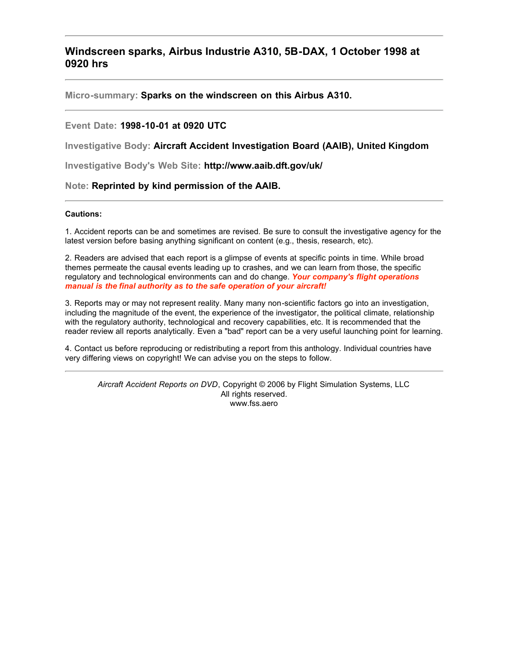## **Windscreen sparks, Airbus Industrie A310, 5B-DAX, 1 October 1998 at 0920 hrs**

**Micro-summary: Sparks on the windscreen on this Airbus A310.**

### **Event Date: 1998-10-01 at 0920 UTC**

**Investigative Body: Aircraft Accident Investigation Board (AAIB), United Kingdom**

**Investigative Body's Web Site: http://www.aaib.dft.gov/uk/**

#### **Note: Reprinted by kind permission of the AAIB.**

#### **Cautions:**

1. Accident reports can be and sometimes are revised. Be sure to consult the investigative agency for the latest version before basing anything significant on content (e.g., thesis, research, etc).

2. Readers are advised that each report is a glimpse of events at specific points in time. While broad themes permeate the causal events leading up to crashes, and we can learn from those, the specific regulatory and technological environments can and do change. *Your company's flight operations manual is the final authority as to the safe operation of your aircraft!*

3. Reports may or may not represent reality. Many many non-scientific factors go into an investigation, including the magnitude of the event, the experience of the investigator, the political climate, relationship with the regulatory authority, technological and recovery capabilities, etc. It is recommended that the reader review all reports analytically. Even a "bad" report can be a very useful launching point for learning.

4. Contact us before reproducing or redistributing a report from this anthology. Individual countries have very differing views on copyright! We can advise you on the steps to follow.

*Aircraft Accident Reports on DVD*, Copyright © 2006 by Flight Simulation Systems, LLC All rights reserved. www.fss.aero